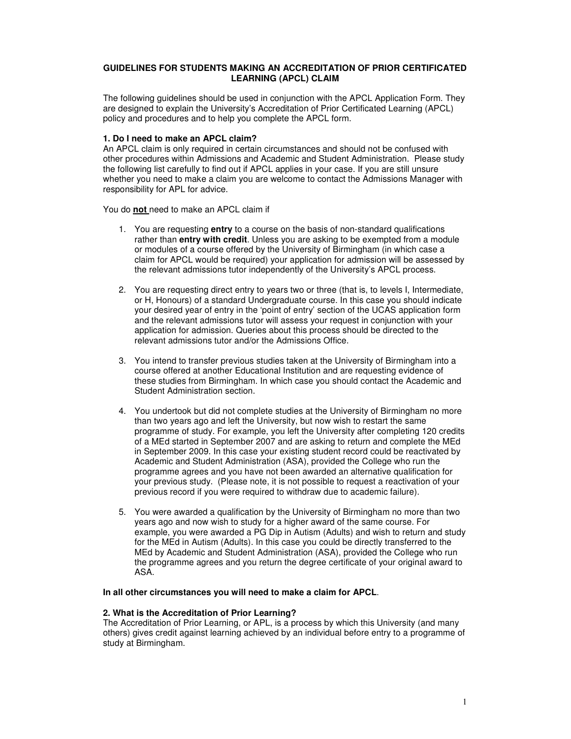# **GUIDELINES FOR STUDENTS MAKING AN ACCREDITATION OF PRIOR CERTIFICATED LEARNING (APCL) CLAIM**

The following guidelines should be used in conjunction with the APCL Application Form. They are designed to explain the University's Accreditation of Prior Certificated Learning (APCL) policy and procedures and to help you complete the APCL form.

# **1. Do I need to make an APCL claim?**

An APCL claim is only required in certain circumstances and should not be confused with other procedures within Admissions and Academic and Student Administration. Please study the following list carefully to find out if APCL applies in your case. If you are still unsure whether you need to make a claim you are welcome to contact the Admissions Manager with responsibility for APL for advice.

You do **not** need to make an APCL claim if

- 1. You are requesting **entry** to a course on the basis of non-standard qualifications rather than **entry with credit**. Unless you are asking to be exempted from a module or modules of a course offered by the University of Birmingham (in which case a claim for APCL would be required) your application for admission will be assessed by the relevant admissions tutor independently of the University's APCL process.
- 2. You are requesting direct entry to years two or three (that is, to levels I, Intermediate, or H, Honours) of a standard Undergraduate course. In this case you should indicate your desired year of entry in the 'point of entry' section of the UCAS application form and the relevant admissions tutor will assess your request in conjunction with your application for admission. Queries about this process should be directed to the relevant admissions tutor and/or the Admissions Office.
- 3. You intend to transfer previous studies taken at the University of Birmingham into a course offered at another Educational Institution and are requesting evidence of these studies from Birmingham. In which case you should contact the Academic and Student Administration section.
- 4. You undertook but did not complete studies at the University of Birmingham no more than two years ago and left the University, but now wish to restart the same programme of study. For example, you left the University after completing 120 credits of a MEd started in September 2007 and are asking to return and complete the MEd in September 2009. In this case your existing student record could be reactivated by Academic and Student Administration (ASA), provided the College who run the programme agrees and you have not been awarded an alternative qualification for your previous study. (Please note, it is not possible to request a reactivation of your previous record if you were required to withdraw due to academic failure).
- 5. You were awarded a qualification by the University of Birmingham no more than two years ago and now wish to study for a higher award of the same course. For example, you were awarded a PG Dip in Autism (Adults) and wish to return and study for the MEd in Autism (Adults). In this case you could be directly transferred to the MEd by Academic and Student Administration (ASA), provided the College who run the programme agrees and you return the degree certificate of your original award to ASA.

## **In all other circumstances you will need to make a claim for APCL**.

## **2. What is the Accreditation of Prior Learning?**

The Accreditation of Prior Learning, or APL, is a process by which this University (and many others) gives credit against learning achieved by an individual before entry to a programme of study at Birmingham.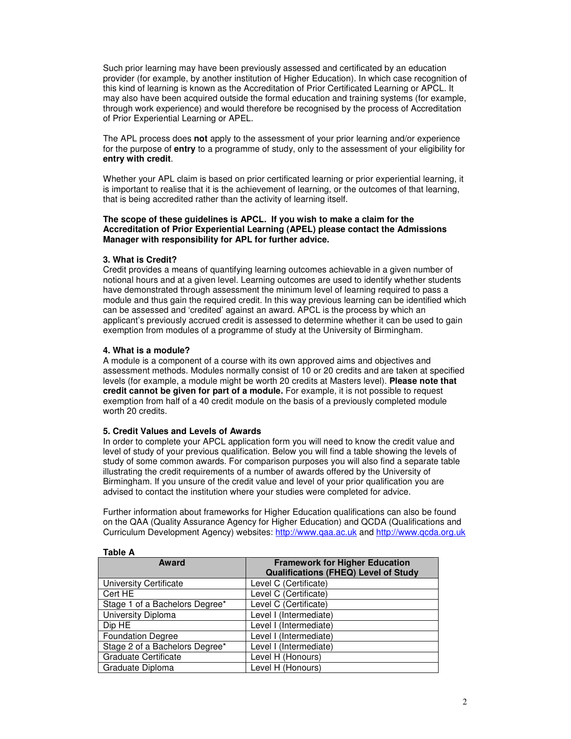Such prior learning may have been previously assessed and certificated by an education provider (for example, by another institution of Higher Education). In which case recognition of this kind of learning is known as the Accreditation of Prior Certificated Learning or APCL. It may also have been acquired outside the formal education and training systems (for example, through work experience) and would therefore be recognised by the process of Accreditation of Prior Experiential Learning or APEL.

The APL process does **not** apply to the assessment of your prior learning and/or experience for the purpose of **entry** to a programme of study, only to the assessment of your eligibility for **entry with credit**.

Whether your APL claim is based on prior certificated learning or prior experiential learning, it is important to realise that it is the achievement of learning, or the outcomes of that learning, that is being accredited rather than the activity of learning itself.

#### **The scope of these guidelines is APCL. If you wish to make a claim for the Accreditation of Prior Experiential Learning (APEL) please contact the Admissions Manager with responsibility for APL for further advice.**

## **3. What is Credit?**

Credit provides a means of quantifying learning outcomes achievable in a given number of notional hours and at a given level. Learning outcomes are used to identify whether students have demonstrated through assessment the minimum level of learning required to pass a module and thus gain the required credit. In this way previous learning can be identified which can be assessed and 'credited' against an award. APCL is the process by which an applicant's previously accrued credit is assessed to determine whether it can be used to gain exemption from modules of a programme of study at the University of Birmingham.

## **4. What is a module?**

A module is a component of a course with its own approved aims and objectives and assessment methods. Modules normally consist of 10 or 20 credits and are taken at specified levels (for example, a module might be worth 20 credits at Masters level). **Please note that credit cannot be given for part of a module.** For example, it is not possible to request exemption from half of a 40 credit module on the basis of a previously completed module worth 20 credits.

## **5. Credit Values and Levels of Awards**

In order to complete your APCL application form you will need to know the credit value and level of study of your previous qualification. Below you will find a table showing the levels of study of some common awards. For comparison purposes you will also find a separate table illustrating the credit requirements of a number of awards offered by the University of Birmingham. If you unsure of the credit value and level of your prior qualification you are advised to contact the institution where your studies were completed for advice.

Further information about frameworks for Higher Education qualifications can also be found on the QAA (Quality Assurance Agency for Higher Education) and QCDA (Qualifications and Curriculum Development Agency) websites: http://www.qaa.ac.uk and http://www.qcda.org.uk

| Award                          | <b>Framework for Higher Education</b><br><b>Qualifications (FHEQ) Level of Study</b> |
|--------------------------------|--------------------------------------------------------------------------------------|
| University Certificate         | Level C (Certificate)                                                                |
| Cert HE                        | Level C (Certificate)                                                                |
| Stage 1 of a Bachelors Degree* | Level C (Certificate)                                                                |
| University Diploma             | Level I (Intermediate)                                                               |
| Dip HE                         | Level I (Intermediate)                                                               |
| <b>Foundation Degree</b>       | Level I (Intermediate)                                                               |
| Stage 2 of a Bachelors Degree* | Level I (Intermediate)                                                               |
| <b>Graduate Certificate</b>    | Level H (Honours)                                                                    |
| Graduate Diploma               | Level H (Honours)                                                                    |

## **Table A**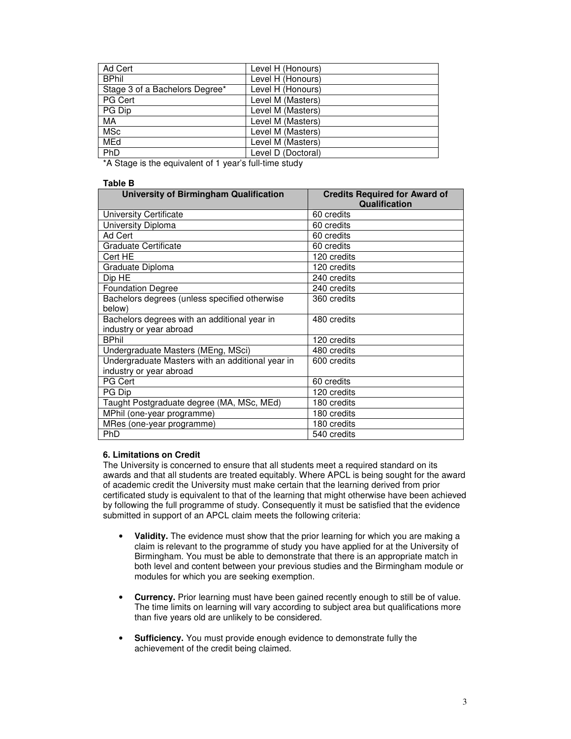| Ad Cert                        | Level H (Honours)  |
|--------------------------------|--------------------|
| <b>BPhil</b>                   | Level H (Honours)  |
| Stage 3 of a Bachelors Degree* | Level H (Honours)  |
| PG Cert                        | Level M (Masters)  |
| PG Dip                         | Level M (Masters)  |
| MA                             | Level M (Masters)  |
| <b>MSc</b>                     | Level M (Masters)  |
| MEd                            | Level M (Masters)  |
| PhD                            | Level D (Doctoral) |

\*A Stage is the equivalent of 1 year's full-time study

#### **Table B**

| <b>University of Birmingham Qualification</b>                               | <b>Credits Required for Award of</b><br><b>Qualification</b> |
|-----------------------------------------------------------------------------|--------------------------------------------------------------|
| <b>University Certificate</b>                                               | 60 credits                                                   |
| University Diploma                                                          | 60 credits                                                   |
| Ad Cert                                                                     | 60 credits                                                   |
| Graduate Certificate                                                        | 60 credits                                                   |
| Cert HE                                                                     | 120 credits                                                  |
| Graduate Diploma                                                            | 120 credits                                                  |
| Dip HE                                                                      | 240 credits                                                  |
| <b>Foundation Degree</b>                                                    | 240 credits                                                  |
| Bachelors degrees (unless specified otherwise<br>below)                     | 360 credits                                                  |
| Bachelors degrees with an additional year in<br>industry or year abroad     | 480 credits                                                  |
| <b>BPhil</b>                                                                | 120 credits                                                  |
| Undergraduate Masters (MEng, MSci)                                          | 480 credits                                                  |
| Undergraduate Masters with an additional year in<br>industry or year abroad | 600 credits                                                  |
| PG Cert                                                                     | 60 credits                                                   |
| PG Dip                                                                      | 120 credits                                                  |
| Taught Postgraduate degree (MA, MSc, MEd)                                   | 180 credits                                                  |
| MPhil (one-year programme)                                                  | 180 credits                                                  |
| MRes (one-year programme)                                                   | 180 credits                                                  |
| <b>PhD</b>                                                                  | 540 credits                                                  |

## **6. Limitations on Credit**

The University is concerned to ensure that all students meet a required standard on its awards and that all students are treated equitably. Where APCL is being sought for the award of academic credit the University must make certain that the learning derived from prior certificated study is equivalent to that of the learning that might otherwise have been achieved by following the full programme of study. Consequently it must be satisfied that the evidence submitted in support of an APCL claim meets the following criteria:

- **Validity.** The evidence must show that the prior learning for which you are making a claim is relevant to the programme of study you have applied for at the University of Birmingham. You must be able to demonstrate that there is an appropriate match in both level and content between your previous studies and the Birmingham module or modules for which you are seeking exemption.
- **Currency.** Prior learning must have been gained recently enough to still be of value. The time limits on learning will vary according to subject area but qualifications more than five years old are unlikely to be considered.
- **Sufficiency.** You must provide enough evidence to demonstrate fully the achievement of the credit being claimed.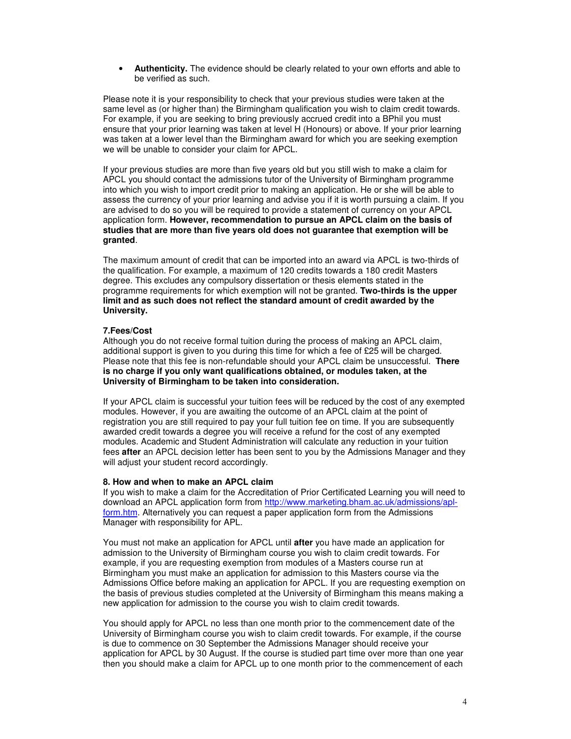• **Authenticity.** The evidence should be clearly related to your own efforts and able to be verified as such.

Please note it is your responsibility to check that your previous studies were taken at the same level as (or higher than) the Birmingham qualification you wish to claim credit towards. For example, if you are seeking to bring previously accrued credit into a BPhil you must ensure that your prior learning was taken at level H (Honours) or above. If your prior learning was taken at a lower level than the Birmingham award for which you are seeking exemption we will be unable to consider your claim for APCL.

If your previous studies are more than five years old but you still wish to make a claim for APCL you should contact the admissions tutor of the University of Birmingham programme into which you wish to import credit prior to making an application. He or she will be able to assess the currency of your prior learning and advise you if it is worth pursuing a claim. If you are advised to do so you will be required to provide a statement of currency on your APCL application form. **However, recommendation to pursue an APCL claim on the basis of studies that are more than five years old does not guarantee that exemption will be granted**.

The maximum amount of credit that can be imported into an award via APCL is two-thirds of the qualification. For example, a maximum of 120 credits towards a 180 credit Masters degree. This excludes any compulsory dissertation or thesis elements stated in the programme requirements for which exemption will not be granted. **Two-thirds is the upper limit and as such does not reflect the standard amount of credit awarded by the University.**

## **7.Fees/Cost**

Although you do not receive formal tuition during the process of making an APCL claim, additional support is given to you during this time for which a fee of £25 will be charged. Please note that this fee is non-refundable should your APCL claim be unsuccessful. **There is no charge if you only want qualifications obtained, or modules taken, at the University of Birmingham to be taken into consideration.**

If your APCL claim is successful your tuition fees will be reduced by the cost of any exempted modules. However, if you are awaiting the outcome of an APCL claim at the point of registration you are still required to pay your full tuition fee on time. If you are subsequently awarded credit towards a degree you will receive a refund for the cost of any exempted modules. Academic and Student Administration will calculate any reduction in your tuition fees **after** an APCL decision letter has been sent to you by the Admissions Manager and they will adjust your student record accordingly.

#### **8. How and when to make an APCL claim**

If you wish to make a claim for the Accreditation of Prior Certificated Learning you will need to download an APCL application form from http://www.marketing.bham.ac.uk/admissions/aplform.htm. Alternatively you can request a paper application form from the Admissions Manager with responsibility for APL.

You must not make an application for APCL until **after** you have made an application for admission to the University of Birmingham course you wish to claim credit towards. For example, if you are requesting exemption from modules of a Masters course run at Birmingham you must make an application for admission to this Masters course via the Admissions Office before making an application for APCL. If you are requesting exemption on the basis of previous studies completed at the University of Birmingham this means making a new application for admission to the course you wish to claim credit towards.

You should apply for APCL no less than one month prior to the commencement date of the University of Birmingham course you wish to claim credit towards. For example, if the course is due to commence on 30 September the Admissions Manager should receive your application for APCL by 30 August. If the course is studied part time over more than one year then you should make a claim for APCL up to one month prior to the commencement of each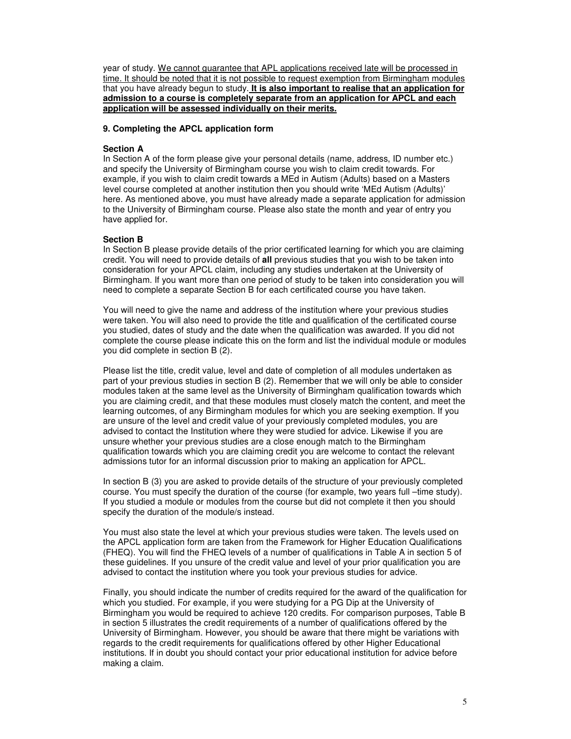year of study. We cannot guarantee that APL applications received late will be processed in time. It should be noted that it is not possible to request exemption from Birmingham modules that you have already begun to study. **It is also important to realise that an application for admission to a course is completely separate from an application for APCL and each application will be assessed individually on their merits.**

## **9. Completing the APCL application form**

# **Section A**

In Section A of the form please give your personal details (name, address, ID number etc.) and specify the University of Birmingham course you wish to claim credit towards. For example, if you wish to claim credit towards a MEd in Autism (Adults) based on a Masters level course completed at another institution then you should write 'MEd Autism (Adults)' here. As mentioned above, you must have already made a separate application for admission to the University of Birmingham course. Please also state the month and year of entry you have applied for.

# **Section B**

In Section B please provide details of the prior certificated learning for which you are claiming credit. You will need to provide details of **all** previous studies that you wish to be taken into consideration for your APCL claim, including any studies undertaken at the University of Birmingham. If you want more than one period of study to be taken into consideration you will need to complete a separate Section B for each certificated course you have taken.

You will need to give the name and address of the institution where your previous studies were taken. You will also need to provide the title and qualification of the certificated course you studied, dates of study and the date when the qualification was awarded. If you did not complete the course please indicate this on the form and list the individual module or modules you did complete in section B (2).

Please list the title, credit value, level and date of completion of all modules undertaken as part of your previous studies in section B (2). Remember that we will only be able to consider modules taken at the same level as the University of Birmingham qualification towards which you are claiming credit, and that these modules must closely match the content, and meet the learning outcomes, of any Birmingham modules for which you are seeking exemption. If you are unsure of the level and credit value of your previously completed modules, you are advised to contact the Institution where they were studied for advice. Likewise if you are unsure whether your previous studies are a close enough match to the Birmingham qualification towards which you are claiming credit you are welcome to contact the relevant admissions tutor for an informal discussion prior to making an application for APCL.

In section B (3) you are asked to provide details of the structure of your previously completed course. You must specify the duration of the course (for example, two years full –time study). If you studied a module or modules from the course but did not complete it then you should specify the duration of the module/s instead.

You must also state the level at which your previous studies were taken. The levels used on the APCL application form are taken from the Framework for Higher Education Qualifications (FHEQ). You will find the FHEQ levels of a number of qualifications in Table A in section 5 of these guidelines. If you unsure of the credit value and level of your prior qualification you are advised to contact the institution where you took your previous studies for advice.

Finally, you should indicate the number of credits required for the award of the qualification for which you studied. For example, if you were studying for a PG Dip at the University of Birmingham you would be required to achieve 120 credits. For comparison purposes, Table B in section 5 illustrates the credit requirements of a number of qualifications offered by the University of Birmingham. However, you should be aware that there might be variations with regards to the credit requirements for qualifications offered by other Higher Educational institutions. If in doubt you should contact your prior educational institution for advice before making a claim.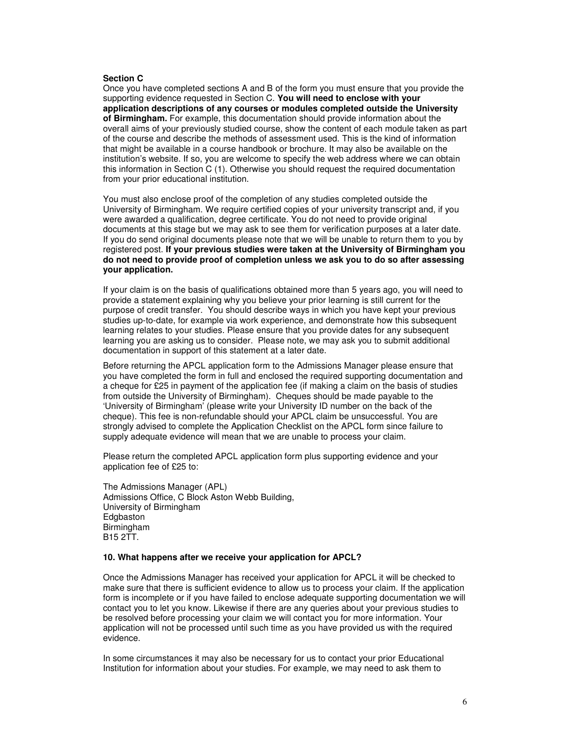#### **Section C**

Once you have completed sections A and B of the form you must ensure that you provide the supporting evidence requested in Section C. **You will need to enclose with your application descriptions of any courses or modules completed outside the University of Birmingham.** For example, this documentation should provide information about the overall aims of your previously studied course, show the content of each module taken as part of the course and describe the methods of assessment used. This is the kind of information that might be available in a course handbook or brochure. It may also be available on the institution's website. If so, you are welcome to specify the web address where we can obtain this information in Section C (1). Otherwise you should request the required documentation from your prior educational institution.

You must also enclose proof of the completion of any studies completed outside the University of Birmingham. We require certified copies of your university transcript and, if you were awarded a qualification, degree certificate. You do not need to provide original documents at this stage but we may ask to see them for verification purposes at a later date. If you do send original documents please note that we will be unable to return them to you by registered post. **If your previous studies were taken at the University of Birmingham you do not need to provide proof of completion unless we ask you to do so after assessing your application.**

If your claim is on the basis of qualifications obtained more than 5 years ago, you will need to provide a statement explaining why you believe your prior learning is still current for the purpose of credit transfer. You should describe ways in which you have kept your previous studies up-to-date, for example via work experience, and demonstrate how this subsequent learning relates to your studies. Please ensure that you provide dates for any subsequent learning you are asking us to consider. Please note, we may ask you to submit additional documentation in support of this statement at a later date.

Before returning the APCL application form to the Admissions Manager please ensure that you have completed the form in full and enclosed the required supporting documentation and a cheque for £25 in payment of the application fee (if making a claim on the basis of studies from outside the University of Birmingham). Cheques should be made payable to the 'University of Birmingham' (please write your University ID number on the back of the cheque). This fee is non-refundable should your APCL claim be unsuccessful. You are strongly advised to complete the Application Checklist on the APCL form since failure to supply adequate evidence will mean that we are unable to process your claim.

Please return the completed APCL application form plus supporting evidence and your application fee of £25 to:

The Admissions Manager (APL) Admissions Office, C Block Aston Webb Building, University of Birmingham Edgbaston **Birmingham** B15 2TT.

#### **10. What happens after we receive your application for APCL?**

Once the Admissions Manager has received your application for APCL it will be checked to make sure that there is sufficient evidence to allow us to process your claim. If the application form is incomplete or if you have failed to enclose adequate supporting documentation we will contact you to let you know. Likewise if there are any queries about your previous studies to be resolved before processing your claim we will contact you for more information. Your application will not be processed until such time as you have provided us with the required evidence.

In some circumstances it may also be necessary for us to contact your prior Educational Institution for information about your studies. For example, we may need to ask them to